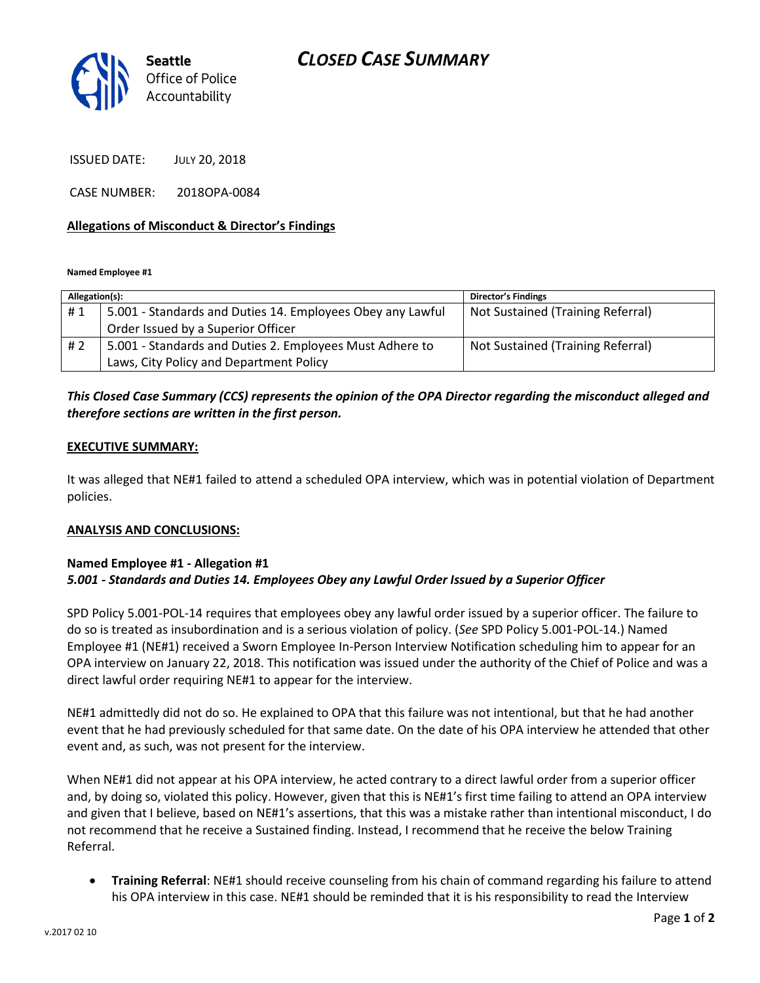

ISSUED DATE: JULY 20, 2018

CASE NUMBER: 2018OPA-0084

#### **Allegations of Misconduct & Director's Findings**

**Named Employee #1**

| Allegation(s): |                                                            | Director's Findings               |
|----------------|------------------------------------------------------------|-----------------------------------|
| #1             | 5.001 - Standards and Duties 14. Employees Obey any Lawful | Not Sustained (Training Referral) |
|                | Order Issued by a Superior Officer                         |                                   |
| # 2            | 5.001 - Standards and Duties 2. Employees Must Adhere to   | Not Sustained (Training Referral) |
|                | Laws, City Policy and Department Policy                    |                                   |

## *This Closed Case Summary (CCS) represents the opinion of the OPA Director regarding the misconduct alleged and therefore sections are written in the first person.*

#### **EXECUTIVE SUMMARY:**

It was alleged that NE#1 failed to attend a scheduled OPA interview, which was in potential violation of Department policies.

### **ANALYSIS AND CONCLUSIONS:**

### **Named Employee #1 - Allegation #1** *5.001 - Standards and Duties 14. Employees Obey any Lawful Order Issued by a Superior Officer*

SPD Policy 5.001-POL-14 requires that employees obey any lawful order issued by a superior officer. The failure to do so is treated as insubordination and is a serious violation of policy. (*See* SPD Policy 5.001-POL-14.) Named Employee #1 (NE#1) received a Sworn Employee In-Person Interview Notification scheduling him to appear for an OPA interview on January 22, 2018. This notification was issued under the authority of the Chief of Police and was a direct lawful order requiring NE#1 to appear for the interview.

NE#1 admittedly did not do so. He explained to OPA that this failure was not intentional, but that he had another event that he had previously scheduled for that same date. On the date of his OPA interview he attended that other event and, as such, was not present for the interview.

When NE#1 did not appear at his OPA interview, he acted contrary to a direct lawful order from a superior officer and, by doing so, violated this policy. However, given that this is NE#1's first time failing to attend an OPA interview and given that I believe, based on NE#1's assertions, that this was a mistake rather than intentional misconduct, I do not recommend that he receive a Sustained finding. Instead, I recommend that he receive the below Training Referral.

• **Training Referral**: NE#1 should receive counseling from his chain of command regarding his failure to attend his OPA interview in this case. NE#1 should be reminded that it is his responsibility to read the Interview